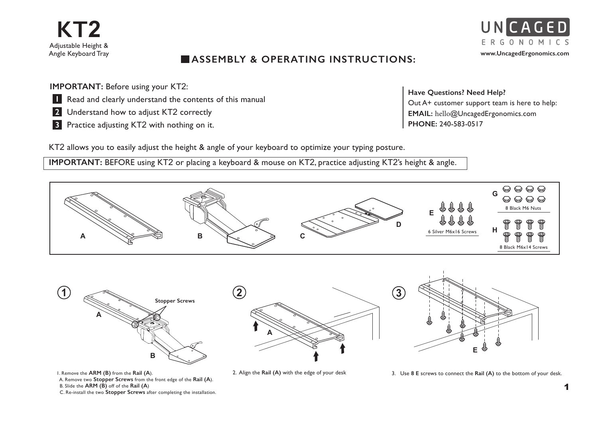

## **ASSEMBLY & OPERATING INSTRUCTIONS:**

**IMPORTANT: Before using your KT2:** 

- **Read and clearly understand the contents of this manual**
- 2 Understand how to adjust KT2 correctly
- **3** Practice adjusting KT2 with nothing on it.

**Have Questions? Need Help?** Out A+ customer support team is here to help: **EMAIL:** hello@UncagedErgonomics.com **PHONE:** 240-583-0517

KT2 allows you to easily adjust the height & angle of your keyboard to optimize your typing posture.

**IMPORTANT: BEFORE** using KT2 or placing a keyboard & mouse on KT2, practice adjusting KT2's height & angle.



1. Remove the **ARM (B)** from the **Rail (A**). A. Remove two **Stopper Screws** from the front edge of the **Rail (A**). B. Slide the **ARM (B)** off of the **Rail (A**) C. Re-install the two **Stopper Screws** after completing the installation.

1

UNCAGED E R G O N O M I C S **www.UncagedErgonomics.com**